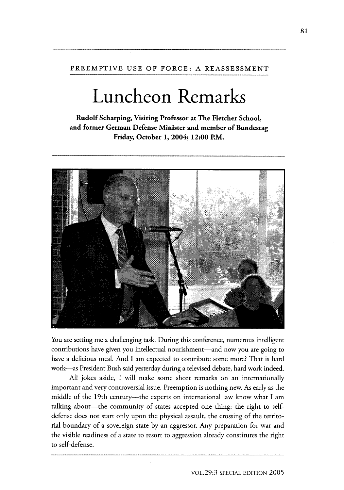## PREEMPTIVE **USE** OF FORCE: **A REASSESSMENT**

## **Luncheon Remarks**

**Rudolf Scharping, Visiting Professor at The Fletcher School, and former German Defense Minister and member of Bundestag Friday, October 1, 2004; 12:00 P.M.**



You are setting me a challenging task. During this conference, numerous intelligent contributions have given you intellectual nourishment-and now you are going to have a delicious meal. And I am expected to contribute some more? That is hard work-as President Bush said yesterday during a televised debate, hard work indeed.

All jokes aside, I will make some short remarks on an internationally important and very controversial issue. Preemption is nothing new. As early as the middle of the 19th century---the experts on international law know what I am talking about—the community of states accepted one thing: the right to selfdefense does not start only upon the physical assault, the crossing of the territorial boundary of a sovereign state by an aggressor. Any preparation for war and the visible readiness of a state to resort to aggression already constitutes the right to self-defense.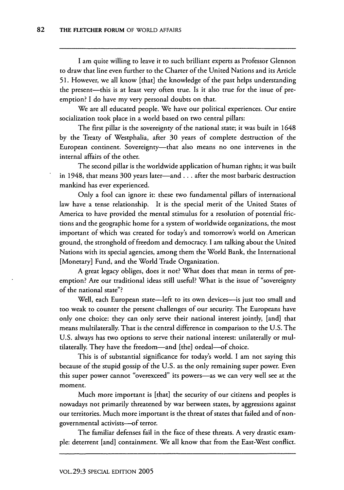I am quite willing to leave it to such brilliant experts as Professor Glennon to draw that line even further to the Charter of the United Nations and its Article 51. However, we all know [that] the knowledge of the past helps understanding the present-this is at least very often true. Is it also true for the issue of preemption? I do have my very personal doubts on that.

We are all educated people. We have our political experiences. Our entire socialization took place in a world based on two central pillars:

The first pillar is the sovereignty of the national state; it was built in 1648 by the Treaty of Westphalia, after 30 years of complete destruction of the European continent. Sovereignty-that also means no one intervenes in the internal affairs of the other.

The second pillar is the worldwide application of human rights; it was built in 1948, that means 300 years later-and. **. .** after the most barbaric destruction mankind has ever experienced.

Only a fool can ignore it: these two fundamental pillars of international law have a tense relationship. It is the special merit of the United States of America to have provided the mental stimulus for a resolution of potential frictions and the geographic home for a system of worldwide organizations, the most important of which was created for today's and tomorrow's world on American ground, the stronghold of freedom and democracy. I am talking about the United Nations with its special agencies, among them the World Bank, the International [Monetary] Fund, and the World Trade Organization.

A great legacy obliges, does it not? What does that mean in terms of preemption? Are our traditional ideas still useful? What is the issue of "sovereignty of the national state"?

Well, each European state—left to its own devices—is just too small and too weak to counter the present challenges of our security. The Europeans have only one choice: they can only serve their national interest jointly, [and] that means multilaterally. That is the central difference in comparison to the U.S. The U.S. always has two options to serve their national interest: unilaterally or multilaterally. They have the freedom-and [the] ordeal-of choice.

This is of substantial significance for today's world. I am not saying this because of the stupid gossip of the U.S. as the only remaining super power. Even this super power cannot "overexceed" its powers-as we can very well see at the moment.

Much more important is [that] the security of our citizens and peoples is nowadays not primarily threatened by war between states, by aggressions against our territories. Much more important is the threat of states that failed and of nongovernmental activists--of terror.

The familiar defenses fail in the face of these threats. A very drastic example: deterrent [and] containment. We all know that from the East-West conflict.